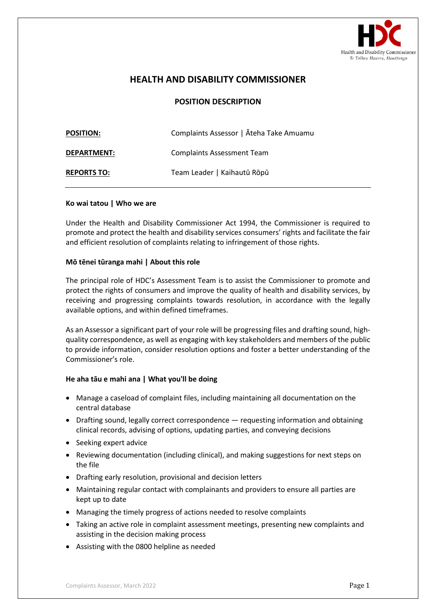

# **HEALTH AND DISABILITY COMMISSIONER**

## **POSITION DESCRIPTION**

| <b>POSITION:</b>   | Complaints Assessor   Āteha Take Amuamu |
|--------------------|-----------------------------------------|
| <b>DEPARTMENT:</b> | <b>Complaints Assessment Team</b>       |
| <b>REPORTS TO:</b> | Team Leader   Kaihautū Rōpū             |

#### **Ko wai tatou | Who we are**

Under the Health and Disability Commissioner Act 1994, the Commissioner is required to promote and protect the health and disability services consumers' rights and facilitate the fair and efficient resolution of complaints relating to infringement of those rights.

#### **Mō tēnei tūranga mahi | About this role**

The principal role of HDC's Assessment Team is to assist the Commissioner to promote and protect the rights of consumers and improve the quality of health and disability services, by receiving and progressing complaints towards resolution, in accordance with the legally available options, and within defined timeframes.

As an Assessor a significant part of your role will be progressing files and drafting sound, highquality correspondence, as well as engaging with key stakeholders and members of the public to provide information, consider resolution options and foster a better understanding of the Commissioner's role.

#### **He aha tāu e mahi ana | What you'll be doing**

- Manage a caseload of complaint files, including maintaining all documentation on the central database
- Drafting sound, legally correct correspondence requesting information and obtaining clinical records, advising of options, updating parties, and conveying decisions
- Seeking expert advice
- Reviewing documentation (including clinical), and making suggestions for next steps on the file
- Drafting early resolution, provisional and decision letters
- Maintaining regular contact with complainants and providers to ensure all parties are kept up to date
- Managing the timely progress of actions needed to resolve complaints
- Taking an active role in complaint assessment meetings, presenting new complaints and assisting in the decision making process
- Assisting with the 0800 helpline as needed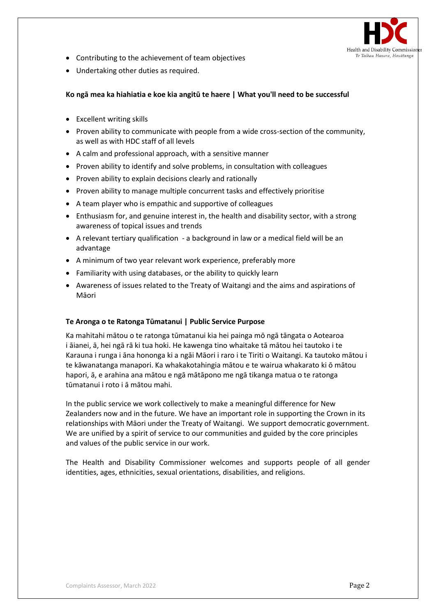

- Contributing to the achievement of team objectives
- Undertaking other duties as required.

## **Ko ngā mea ka hiahiatia e koe kia angitū te haere | What you'll need to be successful**

- Excellent writing skills
- Proven ability to communicate with people from a wide cross-section of the community, as well as with HDC staff of all levels
- A calm and professional approach, with a sensitive manner
- Proven ability to identify and solve problems, in consultation with colleagues
- Proven ability to explain decisions clearly and rationally
- Proven ability to manage multiple concurrent tasks and effectively prioritise
- A team player who is empathic and supportive of colleagues
- Enthusiasm for, and genuine interest in, the health and disability sector, with a strong awareness of topical issues and trends
- A relevant tertiary qualification a background in law or a medical field will be an advantage
- A minimum of two year relevant work experience, preferably more
- Familiarity with using databases, or the ability to quickly learn
- Awareness of issues related to the Treaty of Waitangi and the aims and aspirations of Māori

### **Te Aronga o te Ratonga Tūmatanui | Public Service Purpose**

Ka mahitahi mātou o te ratonga tūmatanui kia hei painga mō ngā tāngata o Aotearoa i āianei, ā, hei ngā rā ki tua hoki. He kawenga tino whaitake tā mātou hei tautoko i te Karauna i runga i āna hononga ki a ngāi Māori i raro i te Tiriti o Waitangi. Ka tautoko mātou i te kāwanatanga manapori. Ka whakakotahingia mātou e te wairua whakarato ki ō mātou hapori, ā, e arahina ana mātou e ngā mātāpono me ngā tikanga matua o te ratonga tūmatanui i roto i ā mātou mahi.

In the public service we work collectively to make a meaningful difference for New Zealanders now and in the future. We have an important role in supporting the Crown in its relationships with Māori under the Treaty of Waitangi.  We support democratic government. We are unified by a spirit of service to our communities and guided by the core principles and values of the public service in our work.

The Health and Disability Commissioner welcomes and supports people of all gender identities, ages, ethnicities, sexual orientations, disabilities, and religions.